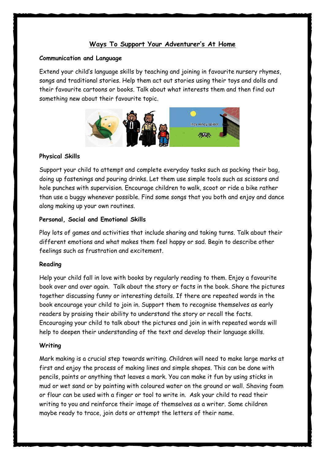# **Ways To Support Your Adventurer's At Home**

#### **Communication and Language**

Extend your child's language skills by teaching and joining in favourite nursery rhymes, songs and traditional stories. Help them act out stories using their toys and dolls and their favourite cartoons or books. Talk about what interests them and then find out something new about their favourite topic.



## **Physical Skills**

Support your child to attempt and complete everyday tasks such as packing their bag, doing up fastenings and pouring drinks. Let them use simple tools such as scissors and hole punches with supervision. Encourage children to walk, scoot or ride a bike rather than use a buggy whenever possible. Find some songs that you both and enjoy and dance along making up your own routines.

### **Personal, Social and Emotional Skills**

Play lots of games and activities that include sharing and taking turns. Talk about their different emotions and what makes them feel happy or sad. Begin to describe other feelings such as frustration and excitement.

### **Reading**

Help your child fall in love with books by regularly reading to them. Enjoy a favourite book over and over again. Talk about the story or facts in the book. Share the pictures together discussing funny or interesting details. If there are repeated words in the book encourage your child to join in. Support them to recognise themselves as early readers by praising their ability to understand the story or recall the facts. Encouraging your child to talk about the pictures and join in with repeated words will help to deepen their understanding of the text and develop their language skills.

### **Writing**

Mark making is a crucial step towards writing. Children will need to make large marks at first and enjoy the process of making lines and simple shapes. This can be done with pencils, paints or anything that leaves a mark. You can make it fun by using sticks in mud or wet sand or by painting with coloured water on the ground or wall. Shaving foam or flour can be used with a finger or tool to write in. Ask your child to read their writing to you and reinforce their image of themselves as a writer. Some children maybe ready to trace, join dots or attempt the letters of their name.